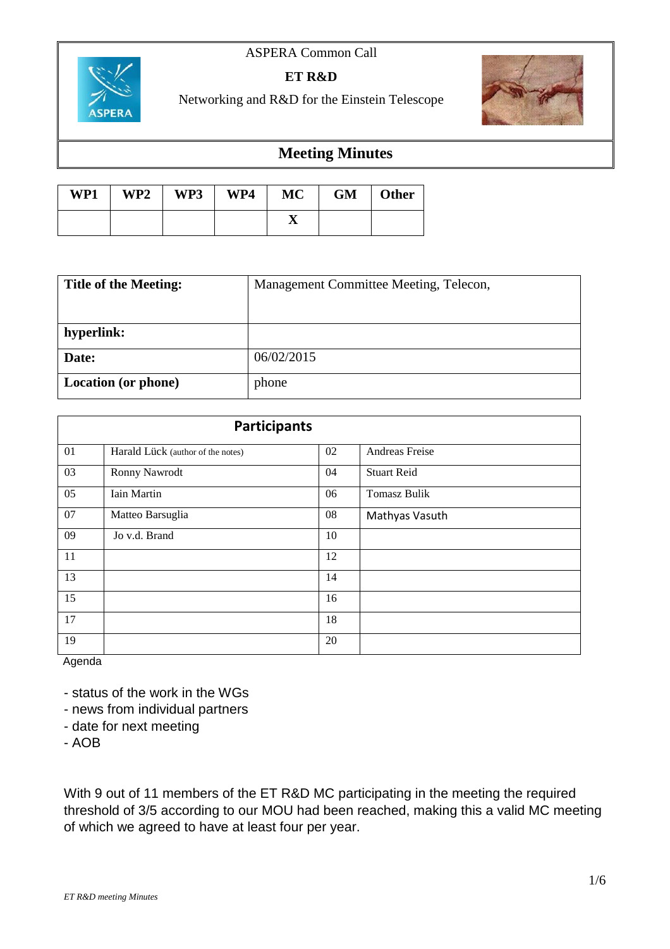#### ASPERA Common Call



#### **ET R&D**

Networking and R&D for the Einstein Telescope



### **Meeting Minutes**

| WP1 | WP2 | WP3 | WP4 | MC | GM | <b>Other</b> |
|-----|-----|-----|-----|----|----|--------------|
|     |     |     |     | ▵  |    |              |

| <b>Title of the Meeting:</b> | Management Committee Meeting, Telecon, |  |  |
|------------------------------|----------------------------------------|--|--|
|                              |                                        |  |  |
| hyperlink:                   |                                        |  |  |
| Date:                        | 06/02/2015                             |  |  |
| <b>Location</b> (or phone)   | phone                                  |  |  |

| <b>Participants</b> |                                   |    |                     |  |  |
|---------------------|-----------------------------------|----|---------------------|--|--|
| 01                  | Harald Lück (author of the notes) | 02 | Andreas Freise      |  |  |
| 03                  | Ronny Nawrodt                     | 04 | <b>Stuart Reid</b>  |  |  |
| 05                  | Iain Martin                       | 06 | <b>Tomasz Bulik</b> |  |  |
| 07                  | Matteo Barsuglia                  | 08 | Mathyas Vasuth      |  |  |
| 09                  | Jo v.d. Brand                     | 10 |                     |  |  |
| 11                  |                                   | 12 |                     |  |  |
| 13                  |                                   | 14 |                     |  |  |
| 15                  |                                   | 16 |                     |  |  |
| 17                  |                                   | 18 |                     |  |  |
| 19                  |                                   | 20 |                     |  |  |

Agenda

- status of the work in the WGs

- news from individual partners
- date for next meeting

- AOB

With 9 out of 11 members of the ET R&D MC participating in the meeting the required threshold of 3/5 according to our MOU had been reached, making this a valid MC meeting of which we agreed to have at least four per year.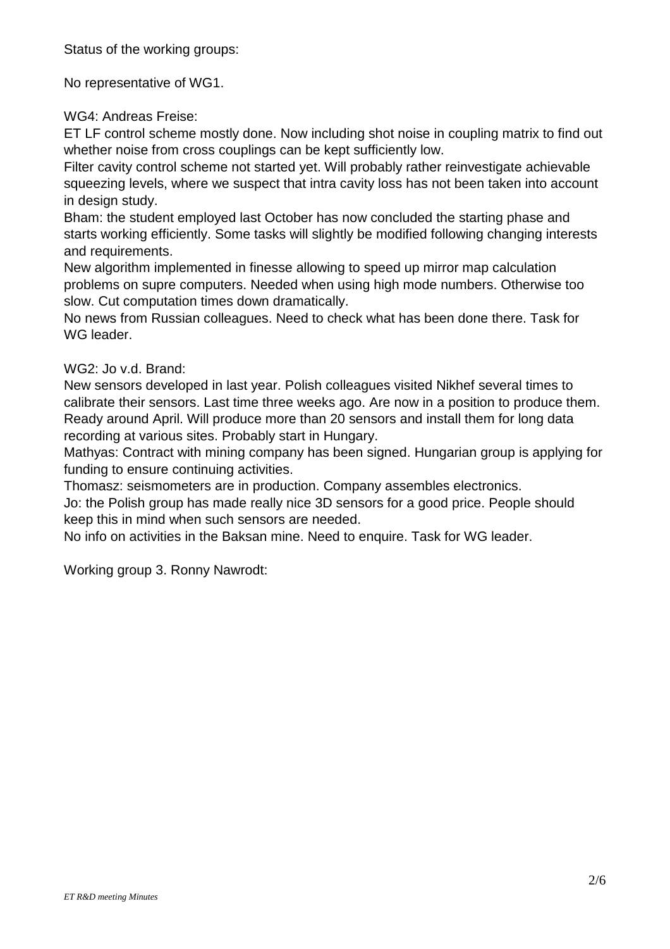Status of the working groups:

No representative of WG1.

WG4: Andreas Freise:

ET LF control scheme mostly done. Now including shot noise in coupling matrix to find out whether noise from cross couplings can be kept sufficiently low.

Filter cavity control scheme not started yet. Will probably rather reinvestigate achievable squeezing levels, where we suspect that intra cavity loss has not been taken into account in design study.

Bham: the student employed last October has now concluded the starting phase and starts working efficiently. Some tasks will slightly be modified following changing interests and requirements.

New algorithm implemented in finesse allowing to speed up mirror map calculation problems on supre computers. Needed when using high mode numbers. Otherwise too slow. Cut computation times down dramatically.

No news from Russian colleagues. Need to check what has been done there. Task for WG leader.

### WG2: Jo v.d. Brand:

New sensors developed in last year. Polish colleagues visited Nikhef several times to calibrate their sensors. Last time three weeks ago. Are now in a position to produce them. Ready around April. Will produce more than 20 sensors and install them for long data recording at various sites. Probably start in Hungary.

Mathyas: Contract with mining company has been signed. Hungarian group is applying for funding to ensure continuing activities.

Thomasz: seismometers are in production. Company assembles electronics.

Jo: the Polish group has made really nice 3D sensors for a good price. People should keep this in mind when such sensors are needed.

No info on activities in the Baksan mine. Need to enquire. Task for WG leader.

Working group 3. Ronny Nawrodt: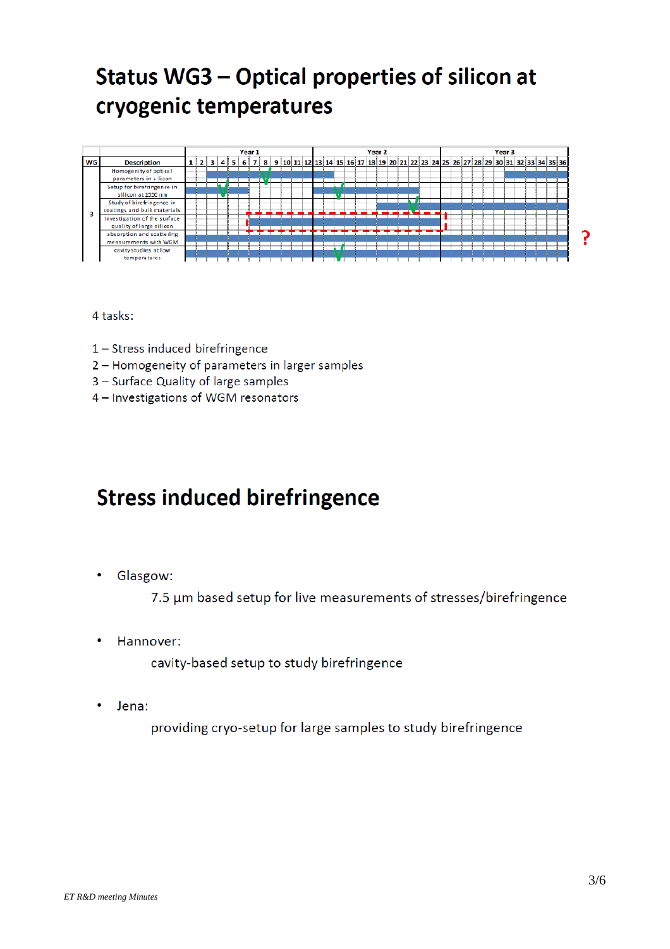## Status WG3 - Optical properties of silicon at cryogenic temperatures



4 tasks:

- 1 Stress induced birefringence
- 2 Homogeneity of parameters in larger samples
- 3 Surface Quality of large samples
- 4 Investigations of WGM resonators

### **Stress induced birefringence**

Glasgow:

7.5 µm based setup for live measurements of stresses/birefringence

Hannover:

cavity-based setup to study birefringence

Jena:  $\bullet$ 

providing cryo-setup for large samples to study birefringence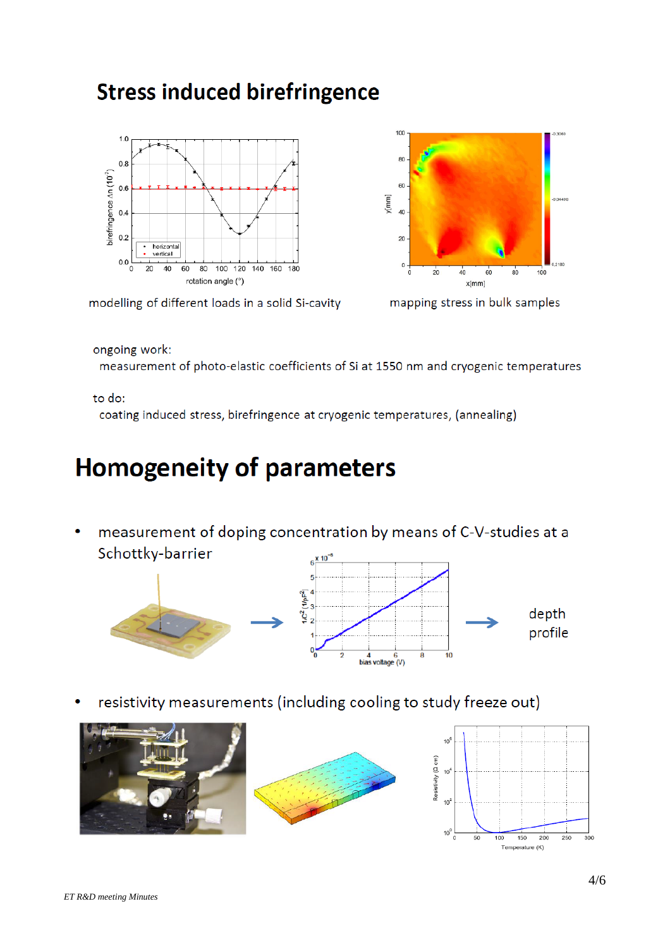### **Stress induced birefringence**





mapping stress in bulk samples

ongoing work:

measurement of photo-elastic coefficients of Si at 1550 nm and cryogenic temperatures

#### to do:

coating induced stress, birefringence at cryogenic temperatures, (annealing)

# **Homogeneity of parameters**

measurement of doping concentration by means of C-V-studies at a Schottky-barrier v 10



resistivity measurements (including cooling to study freeze out)



Temperature (K)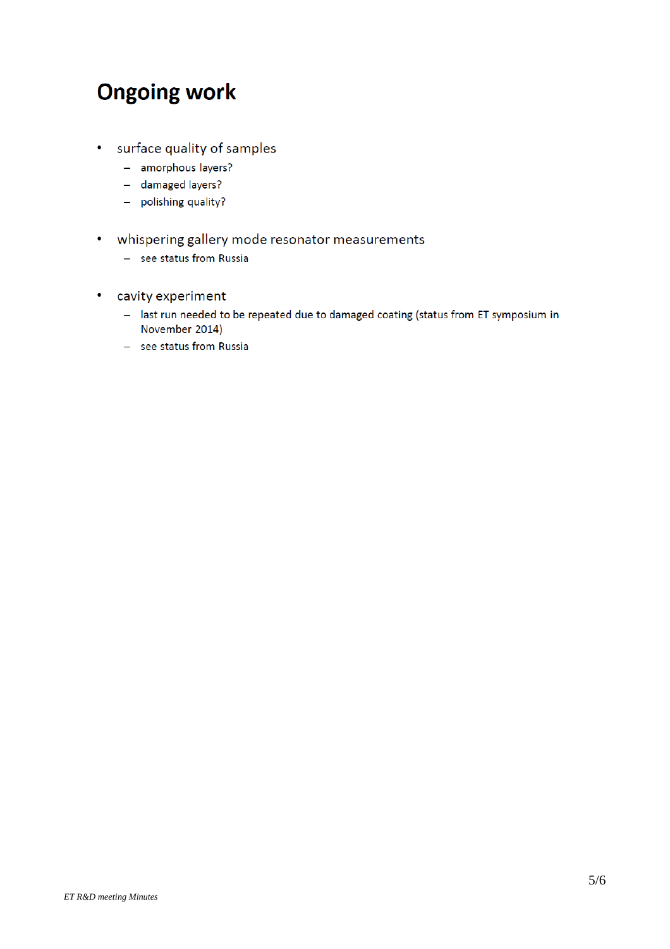## **Ongoing work**

- surface quality of samples
	- amorphous layers?
	- damaged layers?
	- polishing quality?
- whispering gallery mode resonator measurements
	- see status from Russia
- cavity experiment
	- last run needed to be repeated due to damaged coating (status from ET symposium in November 2014)
	- see status from Russia